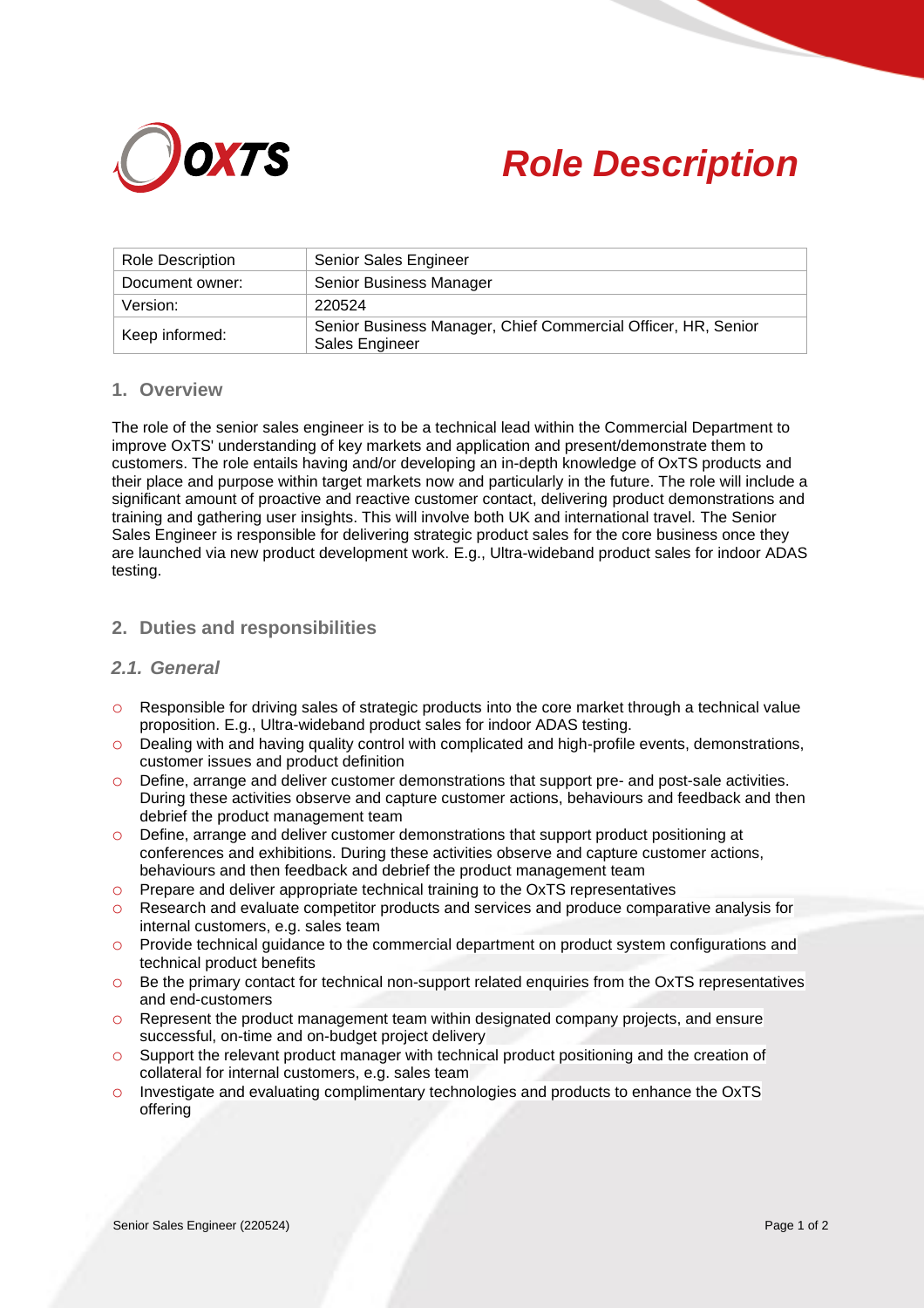



| <b>Role Description</b> | Senior Sales Engineer                                                           |
|-------------------------|---------------------------------------------------------------------------------|
| Document owner:         | Senior Business Manager                                                         |
| Version:                | 220524                                                                          |
| Keep informed:          | Senior Business Manager, Chief Commercial Officer, HR, Senior<br>Sales Engineer |

### **1. Overview**

The role of the senior sales engineer is to be a technical lead within the Commercial Department to improve OxTS' understanding of key markets and application and present/demonstrate them to customers. The role entails having and/or developing an in-depth knowledge of OxTS products and their place and purpose within target markets now and particularly in the future. The role will include a significant amount of proactive and reactive customer contact, delivering product demonstrations and training and gathering user insights. This will involve both UK and international travel. The Senior Sales Engineer is responsible for delivering strategic product sales for the core business once they are launched via new product development work. E.g., Ultra-wideband product sales for indoor ADAS testing.

### **2. Duties and responsibilities**

## *2.1. General*

- o Responsible for driving sales of strategic products into the core market through a technical value proposition. E.g., Ultra-wideband product sales for indoor ADAS testing.
- $\circ$  Dealing with and having quality control with complicated and high-profile events, demonstrations, customer issues and product definition
- o Define, arrange and deliver customer demonstrations that support pre- and post-sale activities. During these activities observe and capture customer actions, behaviours and feedback and then debrief the product management team
- o Define, arrange and deliver customer demonstrations that support product positioning at conferences and exhibitions. During these activities observe and capture customer actions, behaviours and then feedback and debrief the product management team
- o Prepare and deliver appropriate technical training to the OxTS representatives
- o Research and evaluate competitor products and services and produce comparative analysis for internal customers, e.g. sales team
- o Provide technical guidance to the commercial department on product system configurations and technical product benefits
- o Be the primary contact for technical non-support related enquiries from the OxTS representatives and end-customers
- o Represent the product management team within designated company projects, and ensure successful, on-time and on-budget project delivery
- o Support the relevant product manager with technical product positioning and the creation of collateral for internal customers, e.g. sales team
- o Investigate and evaluating complimentary technologies and products to enhance the OxTS offering